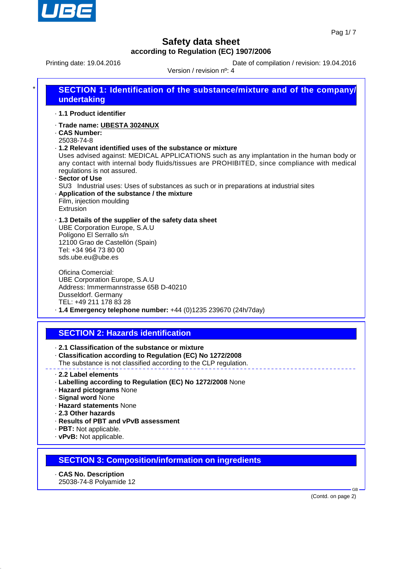

Printing date: 19.04.2016 **Date of compilation / revision: 19.04.2016** 

| undertaking                                                                                                                                                                                                | <b>SECTION 1: Identification of the substance/mixture and of the company/</b>                                                                                                                                                                                                                                                                  |
|------------------------------------------------------------------------------------------------------------------------------------------------------------------------------------------------------------|------------------------------------------------------------------------------------------------------------------------------------------------------------------------------------------------------------------------------------------------------------------------------------------------------------------------------------------------|
| · 1.1 Product identifier                                                                                                                                                                                   |                                                                                                                                                                                                                                                                                                                                                |
| · Trade name: UBESTA 3024NUX<br><b>CAS Number:</b><br>25038-74-8<br>regulations is not assured.<br>· Sector of Use<br>. Application of the substance / the mixture                                         | .1.2 Relevant identified uses of the substance or mixture<br>Uses advised against: MEDICAL APPLICATIONS such as any implantation in the human body or<br>any contact with internal body fluids/tissues are PROHIBITED, since compliance with medical<br>SU3 Industrial uses: Uses of substances as such or in preparations at industrial sites |
| Film, injection moulding<br>Extrusion                                                                                                                                                                      |                                                                                                                                                                                                                                                                                                                                                |
| .1.3 Details of the supplier of the safety data sheet<br><b>UBE Corporation Europe, S.A.U</b><br>Polígono El Serrallo s/n<br>12100 Grao de Castellón (Spain)<br>Tel: +34 964 73 80 00<br>sds.ube.eu@ube.es |                                                                                                                                                                                                                                                                                                                                                |
| Oficina Comercial:<br><b>UBE Corporation Europe, S.A.U</b><br>Address: Immermannstrasse 65B D-40210<br>Dusseldorf. Germany<br>TEL: +49 211 178 83 28                                                       | $\cdot$ 1.4 Emergency telephone number: +44 (0)1235 239670 (24h/7day)                                                                                                                                                                                                                                                                          |
| <b>SECTION 2: Hazards identification</b>                                                                                                                                                                   |                                                                                                                                                                                                                                                                                                                                                |
| 2.1 Classification of the substance or mixture                                                                                                                                                             | Classification according to Regulation (EC) No 1272/2008<br>The substance is not classified according to the CLP regulation.                                                                                                                                                                                                                   |
| 2.2 Label elements<br>· Hazard pictograms None<br>· Signal word None<br>· Hazard statements None<br>2.3 Other hazards                                                                                      | · Labelling according to Regulation (EC) No 1272/2008 None                                                                                                                                                                                                                                                                                     |
| · Results of PBT and vPvB assessment<br>· PBT: Not applicable.<br>· vPvB: Not applicable.                                                                                                                  |                                                                                                                                                                                                                                                                                                                                                |

· **CAS No. Description** 25038-74-8 Polyamide 12

(Contd. on page 2)

GB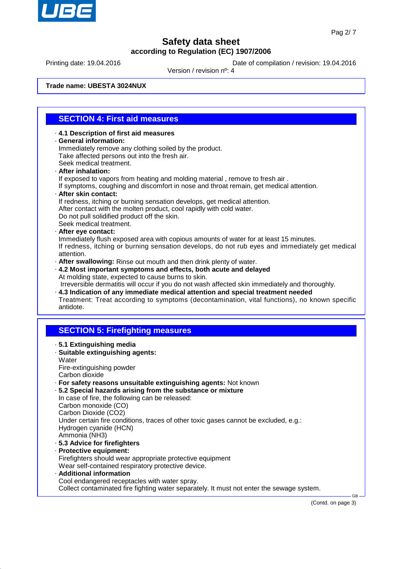

Printing date: 19.04.2016 **Date of compilation / revision: 19.04.2016** 

Version / revision nº: 4

**Trade name: UBESTA 3024NUX**

### **SECTION 4: First aid measures**

- · **4.1 Description of first aid measures** · **General information:** Immediately remove any clothing soiled by the product. Take affected persons out into the fresh air. Seek medical treatment. · **After inhalation:**
- If exposed to vapors from heating and molding material , remove to fresh air .
- If symptoms, coughing and discomfort in nose and throat remain, get medical attention. · **After skin contact:**
- 
- If redness, itching or burning sensation develops, get medical attention. After contact with the molten product, cool rapidly with cold water. Do not pull solidified product off the skin. Seek medical treatment.
- · **After eye contact:**
- Immediately flush exposed area with copious amounts of water for at least 15 minutes. If redness, itching or burning sensation develops, do not rub eyes and immediately get medical attention.
- · **After swallowing:** Rinse out mouth and then drink plenty of water.
- · **4.2 Most important symptoms and effects, both acute and delayed** At molding state, expected to cause burns to skin.
- Irreversible dermatitis will occur if you do not wash affected skin immediately and thoroughly. · **4.3 Indication of any immediate medical attention and special treatment needed**
- Treatment: Treat according to symptoms (decontamination, vital functions), no known specific antidote.

## **SECTION 5: Firefighting measures**

· **5.1 Extinguishing media** · **Suitable extinguishing agents: Water** Fire-extinguishing powder Carbon dioxide · **For safety reasons unsuitable extinguishing agents:** Not known · **5.2 Special hazards arising from the substance or mixture** In case of fire, the following can be released: Carbon monoxide (CO) Carbon Dioxide (CO2) Under certain fire conditions, traces of other toxic gases cannot be excluded, e.g.: Hydrogen cyanide (HCN) Ammonia (NH3) · **5.3 Advice for firefighters** · **Protective equipment:** Firefighters should wear appropriate protective equipment Wear self-contained respiratory protective device. · **Additional information** Cool endangered receptacles with water spray. Collect contaminated fire fighting water separately. It must not enter the sewage system. GB

(Contd. on page 3)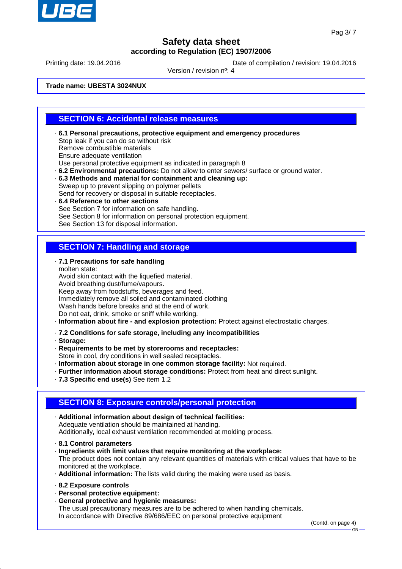

Printing date: 19.04.2016 **Date of compilation / revision: 19.04.2016** 

Version / revision nº: 4

**Trade name: UBESTA 3024NUX**

#### **SECTION 6: Accidental release measures**

- · **6.1 Personal precautions, protective equipment and emergency procedures** Stop leak if you can do so without risk Remove combustible materials Ensure adequate ventilation Use personal protective equipment as indicated in paragraph 8
- · **6.2 Environmental precautions:** Do not allow to enter sewers/ surface or ground water.
- · **6.3 Methods and material for containment and cleaning up:** Sweep up to prevent slipping on polymer pellets Send for recovery or disposal in suitable receptacles.
- · **6.4 Reference to other sections** See Section 7 for information on safe handling. See Section 8 for information on personal protection equipment. See Section 13 for disposal information.

### **SECTION 7: Handling and storage**

· **7.1 Precautions for safe handling**

molten state: Avoid skin contact with the liquefied material. Avoid breathing dust/fume/vapours. Keep away from foodstuffs, beverages and feed. Immediately remove all soiled and contaminated clothing Wash hands before breaks and at the end of work. Do not eat, drink, smoke or sniff while working.

- · **Information about fire and explosion protection:** Protect against electrostatic charges.
- · **7.2 Conditions for safe storage, including any incompatibilities**
- · **Storage:**
- · **Requirements to be met by storerooms and receptacles:**

Store in cool, dry conditions in well sealed receptacles.

- · **Information about storage in one common storage facility:** Not required.
- · **Further information about storage conditions:** Protect from heat and direct sunlight.
- · **7.3 Specific end use(s)** See item 1.2

#### **SECTION 8: Exposure controls/personal protection**

- · **Additional information about design of technical facilities:** Adequate ventilation should be maintained at handing. Additionally, local exhaust ventilation recommended at molding process.
- · **8.1 Control parameters**
- · **Ingredients with limit values that require monitoring at the workplace:** The product does not contain any relevant quantities of materials with critical values that have to be monitored at the workplace.
- · **Additional information:** The lists valid during the making were used as basis.
- · **8.2 Exposure controls**
- · **Personal protective equipment:**
- · **General protective and hygienic measures:**

The usual precautionary measures are to be adhered to when handling chemicals. In accordance with Directive 89/686/EEC on personal protective equipment

(Contd. on page 4)

GB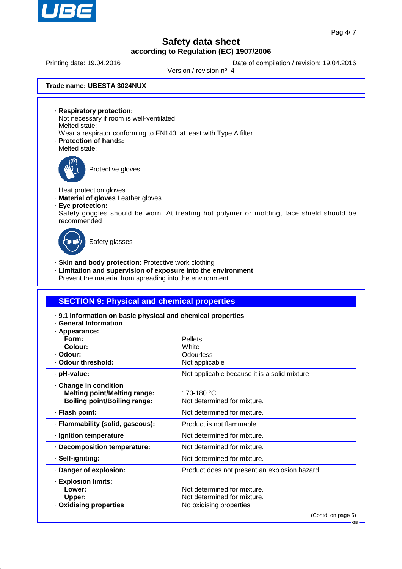

Printing date: 19.04.2016 **Date of compilation / revision: 19.04.2016** 

Version / revision nº: 4

**Trade name: UBESTA 3024NUX**

· **Respiratory protection:**

- Not necessary if room is well-ventilated. Melted state:
- Wear a respirator conforming to EN140 at least with Type A filter.
- · **Protection of hands:** Melted state:



Protective gloves

Heat protection gloves

- · **Material of gloves** Leather gloves
- · **Eye protection:**
- Safety goggles should be worn. At treating hot polymer or molding, face shield should be recommended



Safety glasses

- · **Skin and body protection:** Protective work clothing
- · **Limitation and supervision of exposure into the environment**
- Prevent the material from spreading into the environment.

| <b>SECTION 9: Physical and chemical properties</b>                                   |                                               |  |  |
|--------------------------------------------------------------------------------------|-----------------------------------------------|--|--|
| . 9.1 Information on basic physical and chemical properties<br>· General Information |                                               |  |  |
| · Appearance:<br>Form:                                                               | <b>Pellets</b>                                |  |  |
| Colour:                                                                              | White                                         |  |  |
| - Odour:                                                                             | Odourless                                     |  |  |
| . Odour threshold:                                                                   | Not applicable                                |  |  |
| · pH-value:                                                                          | Not applicable because it is a solid mixture  |  |  |
| Change in condition                                                                  |                                               |  |  |
| <b>Melting point/Melting range:</b>                                                  | 170-180 °C                                    |  |  |
| <b>Boiling point/Boiling range:</b>                                                  | Not determined for mixture.                   |  |  |
| · Flash point:                                                                       | Not determined for mixture.                   |  |  |
| · Flammability (solid, gaseous):                                                     | Product is not flammable.                     |  |  |
| · Ignition temperature                                                               | Not determined for mixture.                   |  |  |
| · Decomposition temperature:                                                         | Not determined for mixture.                   |  |  |
| · Self-igniting:                                                                     | Not determined for mixture.                   |  |  |
| · Danger of explosion:                                                               | Product does not present an explosion hazard. |  |  |
| · Explosion limits:                                                                  |                                               |  |  |
| Lower:                                                                               | Not determined for mixture.                   |  |  |
| Upper:                                                                               | Not determined for mixture.                   |  |  |
| · Oxidising properties                                                               | No oxidising properties                       |  |  |
|                                                                                      | (Contd. on page 5)                            |  |  |

GB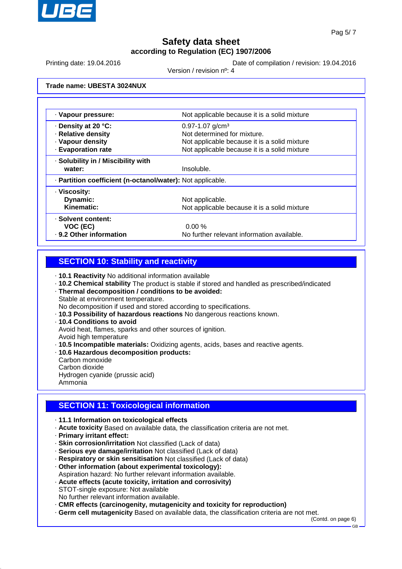

Printing date: 19.04.2016 **Date of compilation / revision: 19.04.2016** 

Version / revision nº: 4

**Trade name: UBESTA 3024NUX**

| · Vapour pressure:                                         | Not applicable because it is a solid mixture |  |
|------------------------------------------------------------|----------------------------------------------|--|
| · Density at 20 °C:                                        | $0.97 - 1.07$ g/cm <sup>3</sup>              |  |
| · Relative density                                         | Not determined for mixture.                  |  |
| · Vapour density                                           | Not applicable because it is a solid mixture |  |
| · Evaporation rate                                         | Not applicable because it is a solid mixture |  |
| · Solubility in / Miscibility with                         |                                              |  |
| water:                                                     | Insoluble.                                   |  |
| · Partition coefficient (n-octanol/water): Not applicable. |                                              |  |
| · Viscosity:                                               |                                              |  |
| Dynamic:                                                   | Not applicable.                              |  |
| Kinematic:                                                 | Not applicable because it is a solid mixture |  |
| · Solvent content:                                         |                                              |  |
| VOC (EC)                                                   | $0.00 \%$                                    |  |
| . 9.2 Other information                                    | No further relevant information available.   |  |

#### **SECTION 10: Stability and reactivity**

· **10.1 Reactivity** No additional information available

- · **10.2 Chemical stability** The product is stable if stored and handled as prescribed/indicated
- · **Thermal decomposition / conditions to be avoided:**
- Stable at environment temperature.
- No decomposition if used and stored according to specifications.
- · **10.3 Possibility of hazardous reactions** No dangerous reactions known.
- · **10.4 Conditions to avoid** Avoid heat, flames, sparks and other sources of ignition. Avoid high temperature
- · **10.5 Incompatible materials:** Oxidizing agents, acids, bases and reactive agents.
- · **10.6 Hazardous decomposition products:**
- Carbon monoxide Carbon dioxide Hydrogen cyanide (prussic acid)
- Ammonia

### **SECTION 11: Toxicological information**

- · **11.1 Information on toxicological effects**
- · **Acute toxicity** Based on available data, the classification criteria are not met.
- · **Primary irritant effect:**
- · **Skin corrosion/irritation** Not classified (Lack of data)
- · **Serious eye damage/irritation** Not classified (Lack of data)
- · **Respiratory or skin sensitisation** Not classified (Lack of data)
- · **Other information (about experimental toxicology):**
- Aspiration hazard: No further relevant information available.
- · **Acute effects (acute toxicity, irritation and corrosivity)** STOT-single exposure: Not available No further relevant information available.
- · **CMR effects (carcinogenity, mutagenicity and toxicity for reproduction)**
- · **Germ cell mutagenicity** Based on available data, the classification criteria are not met.

(Contd. on page 6)

GB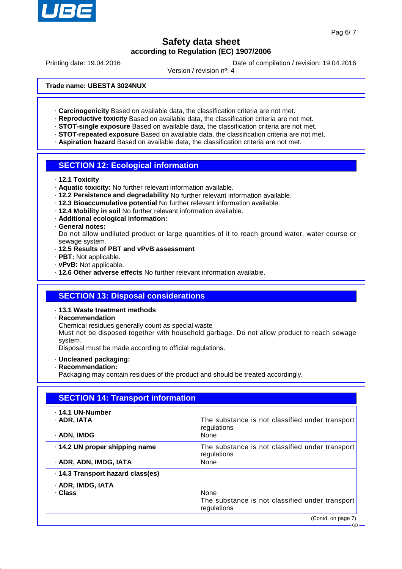

Printing date: 19.04.2016 **Date of compilation / revision: 19.04.2016** 

Version / revision nº: 4

**Trade name: UBESTA 3024NUX**

- · **Carcinogenicity** Based on available data, the classification criteria are not met.
- · **Reproductive toxicity** Based on available data, the classification criteria are not met.
- · **STOT-single exposure** Based on available data, the classification criteria are not met.
- · **STOT-repeated exposure** Based on available data, the classification criteria are not met.
- · **Aspiration hazard** Based on available data, the classification criteria are not met.

#### **SECTION 12: Ecological information**

- · **12.1 Toxicity**
- · **Aquatic toxicity:** No further relevant information available.
- · **12.2 Persistence and degradability** No further relevant information available.
- · **12.3 Bioaccumulative potential** No further relevant information available.
- · **12.4 Mobility in soil** No further relevant information available.
- · **Additional ecological information:**

#### · **General notes:**

Do not allow undiluted product or large quantities of it to reach ground water, water course or sewage system.

- · **12.5 Results of PBT and vPvB assessment**
- · **PBT:** Not applicable.
- · **vPvB:** Not applicable.
- · **12.6 Other adverse effects** No further relevant information available.

#### **SECTION 13: Disposal considerations**

#### · **13.1 Waste treatment methods**

· **Recommendation**

Chemical residues generally count as special waste

Must not be disposed together with household garbage. Do not allow product to reach sewage system.

Disposal must be made according to official regulations.

- · **Uncleaned packaging:**
- · **Recommendation:**

Packaging may contain residues of the product and should be treated accordingly.

| <b>SECTION 14: Transport information</b> |                                                                |  |
|------------------------------------------|----------------------------------------------------------------|--|
| . 14.1 UN-Number                         |                                                                |  |
| · ADR. IATA                              | The substance is not classified under transport<br>regulations |  |
| · ADN, IMDG                              | None                                                           |  |
| · 14.2 UN proper shipping name           | The substance is not classified under transport<br>regulations |  |
| · ADR, ADN, IMDG, IATA                   | None                                                           |  |
| · 14.3 Transport hazard class(es)        |                                                                |  |
| · ADR, IMDG, IATA                        |                                                                |  |
| · Class                                  | <b>None</b>                                                    |  |
|                                          | The substance is not classified under transport<br>regulations |  |
|                                          | (Contd. on page 7)                                             |  |